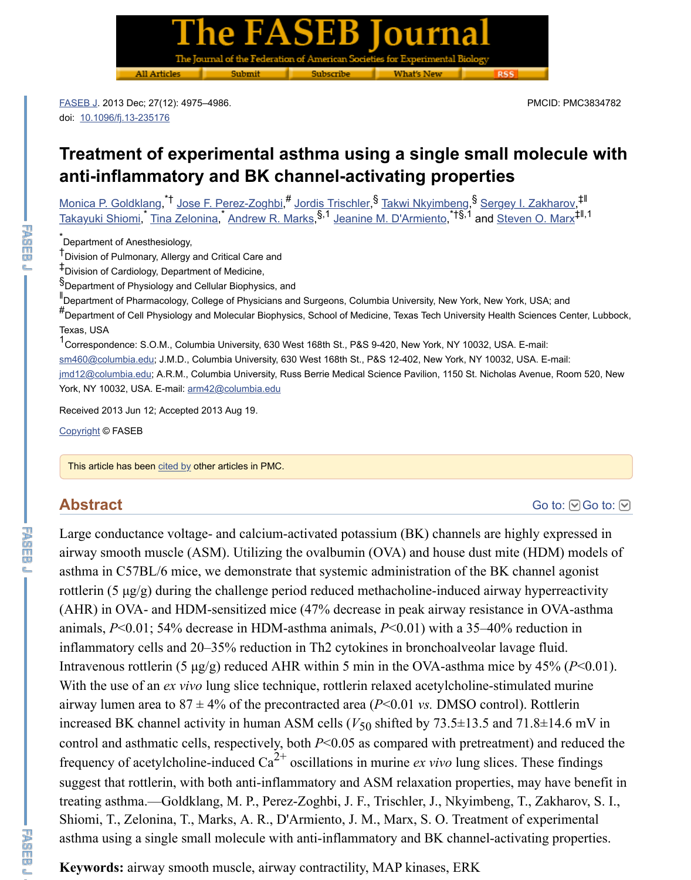\*<br>Department of Anesthesiology,

<sup>†</sup> Division of Pulmonary, Allergy and Critical Care and

Division of Cardiology, Department of Medicine, ‡

§<br>Department of Physiology and Cellular Biophysics, and

I[Departm](https://www.ncbi.nlm.nih.gov/pmc/articles/PMC3834782/#)ent of Pharmacology, College of Physicians and Surgeons, Columbia University, New York, New York, #<br>
De[partment of Cell Physio](https://dx.doi.org/10.1096%2Ffj.13-235176)logy and Molecular Biophysics, School of Medicine, Texas Tech University Health Sc Texas, USA

<sup>1</sup>Correspondence: S.O.M., Columbia University, 630 West 168th St., P&S 9-420, New York, NY 10032, USA. Esm460@columbia.edu; J.M.D., Columbia University, 630 West 168th St., P&S 12-402, New York, NY 10032, US jmd12@columbia.edu; A.R.M., Columbia University, Russ Berrie Medical Science Pavilion, 1150 St. Nicholas Av [York, NY 10032, USA. E](https://www.ncbi.nlm.nih.gov/pubmed/?term=Goldklang%20MP%5BAuthor%5D&cauthor=true&cauthor_uid=23995289)-m[ail: arm42@columbia.edu](https://www.ncbi.nlm.nih.gov/pubmed/?term=Perez-Zoghbi%20JF%5BAuthor%5D&cauthor=true&cauthor_uid=23995289)

[Received 2013 Jun](https://www.ncbi.nlm.nih.gov/pubmed/?term=Shiomi%20T%5BAuthor%5D&cauthor=true&cauthor_uid=23995289) 1[2; Accepted 2013](https://www.ncbi.nlm.nih.gov/pubmed/?term=Zelonina%20T%5BAuthor%5D&cauthor=true&cauthor_uid=23995289) [Aug 19.](https://www.ncbi.nlm.nih.gov/pubmed/?term=Marks%20AR%5BAuthor%5D&cauthor=true&cauthor_uid=23995289)

Copyright © FASEB

This article has been cited by other articles in PMC.

# **Abstract**

Large conductance voltage- and calcium-activated potassium (BK) channels are high [airway smooth m](mailto:dev@null)uscle  $(ASM)$ . Utilizing the ovalbumin  $(OVA)$  and house dust mite ( [asthma in C57BL](mailto:dev@null)/6 mice, we demonstrate that systemic administration of the BK cha rottlerin (5  $\mu$ g/g) durin[g the challenge pe](mailto:dev@null)riod reduced methacholine-induced airway h (AHR) in OVA- and HDM-sensitized mice  $(47%$  decrease in peak airway resistance [animals](https://www.ncbi.nlm.nih.gov/pmc/about/copyright/),  $P<0.01$ ; 54% decrease in HDM-asthma animals,  $P<0.01$ ) with a 35–40% reduction inflammatory cells and  $20-35%$  reduction in Th2 cytokines in bronchoalveolar lavage Intravenous rottle[rin \(5](https://www.ncbi.nlm.nih.gov/pmc/articles/PMC3834782/citedby/) μg/g) reduced AHR within 5 min in the OVA-asthma mice by With the use of an *ex vivo* lung slice technique, rottlerin relaxed acetylcholine-stimul airway lumen area to  $87 \pm 4\%$  of the precontracted area ( $P \le 0.01$  *vs.* DMSO control). increased BK channel activity in human ASM cells  $(V_{50}$  shifted by  $73.5 \pm 13.5$  and  $71$ control and asthmatic cells, respectively, both *P*<0.05 as compared with pretreatment frequency of acetylcholine-induced  $Ca^{2+}$  oscillations in murine *ex vivo* lung slices. The suggest that rottlerin, with both anti-inflammatory and ASM relaxation properties, m treating asthma.—Goldklang, M. P., Perez-Zoghbi, J. F., Trischler, J., Nkyimbeng, T. Shiomi, T., Zelonina, T., Marks, A. R., D'Armiento, J. M., Marx, S. O. Treatment of asthma using a single small molecule with anti-inflammatory and BK channel-activa

**Keywords:** airway smooth muscle, airway contractility, MAP kinases, ERK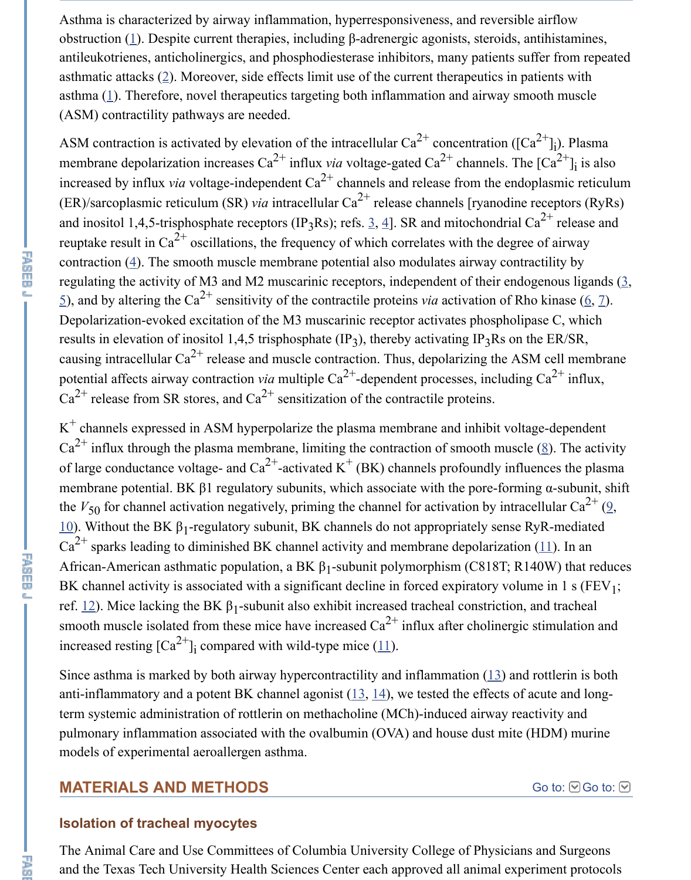$(ER)/sarcoplasmic reticulum (SR) *via* intracellular Ca<sup>2+</sup> release channels [ryanodine]$ and inositol 1,4,5-trisphosphate receptors (IP<sub>3</sub>Rs); refs.  $\underline{3}$ ,  $\underline{4}$ ]. SR and mitochondrial C reuptake res[ul](https://www.ncbi.nlm.nih.gov/pmc/articles/PMC3834782/#B1)t in Ca<sup>2+</sup> oscillations, the frequency of which correlates with the degree contraction  $(4)$ . The smooth muscle membrane potential also modulates airway contraction regulating the acti[vi](https://www.ncbi.nlm.nih.gov/pmc/articles/PMC3834782/#B2)ty of M3 and M2 muscarinic receptors, independent of their endo  $\leq$ ), and [by](https://www.ncbi.nlm.nih.gov/pmc/articles/PMC3834782/#B1) altering the Ca<sup>2+</sup> sensitivity of the contractile proteins *via* activation of Rh Depolarization-evoked excitation of the M3 muscarinic receptor activates phospholip results in elevation of inositol 1,4,5 trisphosphate  $(\text{IP}_3)$ , thereby activating IP<sub>3</sub>Rs on the ER/SR, The ER/SR, The ER/SR, The ER/SR, The ER/SR, The ER/SR, The ER/SR, The ER/SR, The ER/SR, The ER/SR, The ER/SR, The ER causing intracellular  $Ca^{2+}$  release and muscle contraction. Thus, depolarizing the AS potential affects airway contraction *via* multiple  $Ca^{2+}$ -dependent processes, including  $Ca^{2+}$  release from SR stores, and  $Ca^{2+}$  sensitization of the contractile proteins.

 $K^+$  channels expressed in ASM hyperpolarize the plas[ma](https://www.ncbi.nlm.nih.gov/pmc/articles/PMC3834782/#B3) [m](https://www.ncbi.nlm.nih.gov/pmc/articles/PMC3834782/#B4)embrane and inhibit volta  $Ca^{2+}$  influx [th](https://www.ncbi.nlm.nih.gov/pmc/articles/PMC3834782/#B4)rough the plasma membrane, limiting the contraction of smooth muscle of large conductance voltage- and  $Ca^{2+}$ -activated K<sup>+</sup> (BK) channels profoundly influ [m](https://www.ncbi.nlm.nih.gov/pmc/articles/PMC3834782/#B5)embrane potential. BK  $\beta$ 1 regulatory subunits, which associate with the pore-formi the  $V_{50}$  for channel activation negatively, priming the channel for activation by intractional 10). Without the BK  $β_1$ -regulatory subunit, BK channels do not appropriately sense I  $Ca^{2+}$  sparks leading to diminished BK channel activity and membrane depolarization African-American asthmatic population, a BK  $\beta_1$ -subunit polymorphism (C818T; R1 BK channel activity is associated with a significant decline in forced expiratory volume in 1 s (FEV  $\,$  s). ref.  $12$ ). Mice lacking the BK  $β_1$ -subunit also exhibit increased tracheal constriction, smooth muscle isolated from these mice have increased  $Ca^{2+}$  influx after cholinergic increased resting  $\lceil Ca^{2+} \rceil$  compared with wild-type mice (11). i

Since asthma is marked by both airway hypercontractility and inflammation  $(13)$  and anti-inflammatory and a potent BK channel agonist  $(13, 14)$ , we tested the effects of [ter](https://www.ncbi.nlm.nih.gov/pmc/articles/PMC3834782/#B10)m systemic administration of rottlerin on methacholine (MCh)-induced airway rea pulmonary inflammation associated with the ovalbumin (OVA) and house dust mite ( models of experimental aeroallergen asthma.

## **M[ATE](https://www.ncbi.nlm.nih.gov/pmc/articles/PMC3834782/#B12)RIALS AND METHODS**

#### **Isolation of tracheal myocytes**

The Animal Care and Use Committees of Columbia Uni[vers](https://www.ncbi.nlm.nih.gov/pmc/articles/PMC3834782/#B11)ity College of Physician and the Texas Tech University Health Sciences Center each approved all ani[mal](https://www.ncbi.nlm.nih.gov/pmc/articles/PMC3834782/#B13) experiment protocols.

忍頭

下<br>西面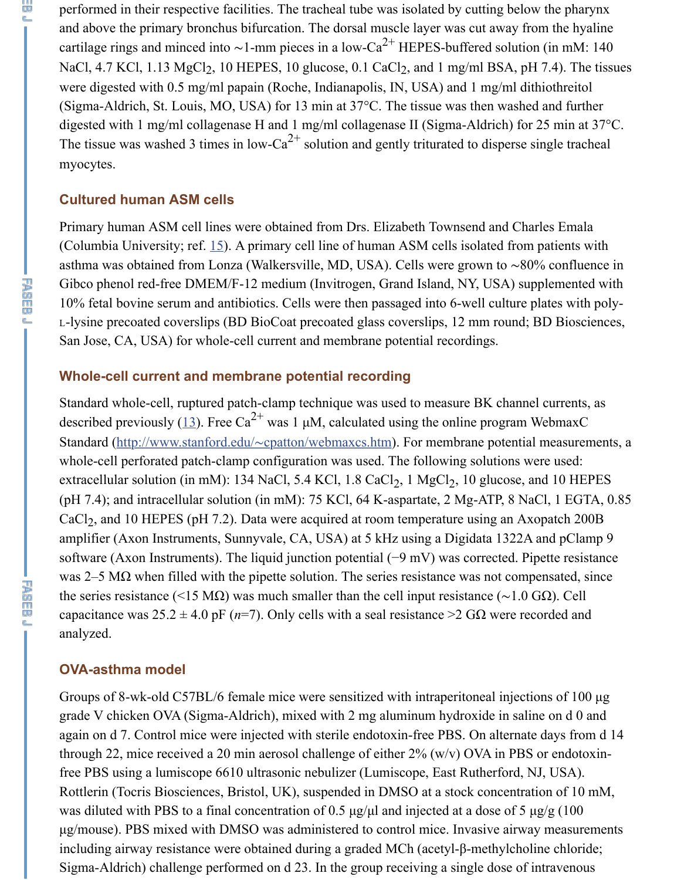#### **Cultured human ASM cells**

Primary human ASM cell lines were obtained from Drs. Elizabeth Townsend and Ch (Columbia University; ref.  $15$ ). A primary cell line of human ASM cells isolated from asthma was obtained from Lonza (Walkersville, MD, USA). Cells were grown to ~80 Gibco phenol red-free DMEM/F-12 medium (Invitrogen, Grand Island, NY, USA) supplement 10% fetal bovine serum and antibiotics. Cells were then passaged into 6-well culture L-lysine precoated coverslips (BD BioCoat precoated glass coverslips, 12 mm round; San Jose, CA, USA) for whole-cell current and membrane potential recordings.

#### **Whole-cell current and membrane potential recording**

Standard whole-cell, ruptured patch-clamp technique was used to measure BK channel described previously (13). Free Ca<sup>2+</sup> was 1  $\mu$ M, calculated using the online program Standard (http://www.stanf[ord](https://www.ncbi.nlm.nih.gov/pmc/articles/PMC3834782/#B15).edu/∼cpatton/webmaxcs.htm). For membrane potentia whole-cell perforated patch-clamp configuration was used. The following solutions w extracellular solution (in mM): 134 NaCl, 5.4 KCl, 1.8 CaCl<sub>2</sub>, 1 MgCl<sub>2</sub>, 10 glucose, (pH 7.4); and intracellular solution (in mM): 75 KCl, 64 K-aspartate, 2 Mg-ATP, 8 N CaCl<sub>2</sub>, and 10 HEPES (pH 7.2). Data were acquired at room temperature using an Axopatch 200B amplifier (Axon Instruments, Sunnyvale, CA, USA) at 5 kHz using a Digidata  $1322A$ software (Axon Instruments). The liquid junction potential (−9 mV) was corrected. P was 2–5 M $\Omega$  when filled with the pipette solution. The series resistance was not com the series resistance (<15 MΩ) was much smaller than the cell input resistance ( $\sim$ 1.0 capacitance was  $25.2 \pm 4.0$  pF ( $n=7$ ). Only cells with a seal resistance >2 GQ were re analyzed.

#### **OVA-asthma model**

Groups of 8-wk-old C57BL/6 female mice were sensitized with intraperitoneal inject grade V chicken OVA (Sigma-Aldrich), mixed with 2 mg aluminum hydroxide in sal again on d 7. Control mice were injected with sterile endotoxin-free PBS. On alternational through 22, mice received a 20 min aerosol challenge of either  $2\%$  (w/v) OVA in PBS free PBS using a lumiscope 6610 ultrasonic nebulizer (Lumiscope, East Rutherford, N Rottlerin (Tocris Biosciences, Bristol, UK), suspended in DMSO at a stock concentration was diluted with PBS to a final concentration of  $0.5 \mu g/\mu l$  and injected at a dose of 5 µg/mouse). PBS mixed with DMSO was administered to control mice. Invasive airw including airway resistance were obtained during a graded MCh (acetyl- $\beta$ -methylcho Sigma-Aldrich) challenge performed on d 23. In the group receiving a single dose of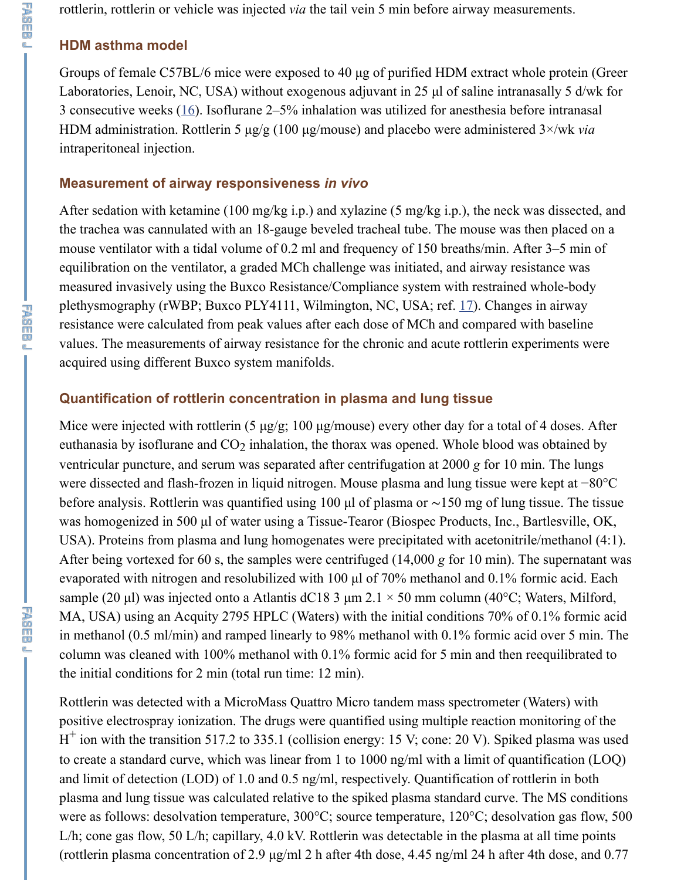After sedation with ketamine (100 mg/kg i.p.) and xylazine (5 mg/kg i.p.), the neck v the trachea was cannulated with an 18-gauge beveled tracheal tube. The mouse was the mouse ventilator with a tidal volume of 0.2 ml and frequency of 150 breaths/min. Af equilibration on the ventilator, a graded MCh challenge was initiated, and airway resisted measured invasively using the Buxco Resistance/Compliance system with restrained plethysmography (rW[BP](https://www.ncbi.nlm.nih.gov/pmc/articles/PMC3834782/#B16); Buxco PLY4111, Wilmington, NC, USA; ref. 17). Change resistance were calculated from peak values after each dose of MCh and compared w values. The measurements of airway resistance for the chronic and acute rottlerin experiments acquired using different Buxco system manifolds.

#### **Quantification of rottlerin concentration in plasma and lung tissue**

下海的 口息

出版印刷

Mice were injected with rottlerin (5  $\mu$ g/g; 100  $\mu$ g/mouse) every other day for a total of euthanasia by isoflurane and  $CO<sub>2</sub>$  inhalation, the thorax was opened. Whole blood was ventricular puncture, and serum was separated after centrifugation at 2000 *g* for 10 m were dissected and flash-frozen in liquid nitrogen. Mouse plasma and lung tissue were before analysis. Rottlerin was quantified using 100 µl of plasma or ~15[0 m](https://www.ncbi.nlm.nih.gov/pmc/articles/PMC3834782/#B17)g of lung was homogenized in 500 µl of water using a Tissue-Tearor (Biospec Products, Inc., E USA). Proteins from plasma and lung homogenates were precipitated with acetonitri After being vortexed for 60 s, the samples were centrifuged  $(14,000 \text{ g}$  for 10 min). The supernatant was supernature was an analyzed  $(14,000 \text{ g}$  for 10 min). evaporated with nitrogen and resolubilized with 100  $\mu$ l of 70% methanol and 0.1% for sample (20 µl) was injected onto a Atlantis dC18 3 µm 2.1  $\times$  50 mm column (40°C; V MA, USA) using an Acquity 2795 HPLC (Waters) with the initial conditions 70% of in methanol (0.5 ml/min) and ramped linearly to  $98%$  methanol with 0.1% formic aci column was cleaned with 100% methanol with 0.1% formic acid for 5 min and then re the initial conditions for 2 min (total run time: 12 min).

Rottlerin was detected with a MicroMass Quattro Micro tandem mass spectrometer ( positive electrospray ionization. The drugs were quantified using multiple reaction m  $H^+$  ion with the transition 517.2 to 335.1 (collision energy: 15 V; cone: 20 V). Spiked to create a standard curve, which was linear from 1 to 1000 ng/ml with a limit of qua and limit of detection (LOD) of 1.0 and 0.5 ng/ml, respectively. Quantification of rot plasma and lung tissue was calculated relative to the spiked plasma standard curve. The MS conditions of MS conditions and MS conditions and MS conditions and MS conditions and MS conditions and MS conditions and MS condit were as follows: desolvation temperature, 300°C; source temperature, 120°C; desolv L/h; cone gas flow, 50 L/h; capillary, 4.0 kV. Rottlerin was detectable in the plasma a (rottlerin plasma concentration of 2.9  $\mu$ g/ml 2 h after 4th dose, 4.45 ng/ml 24 h after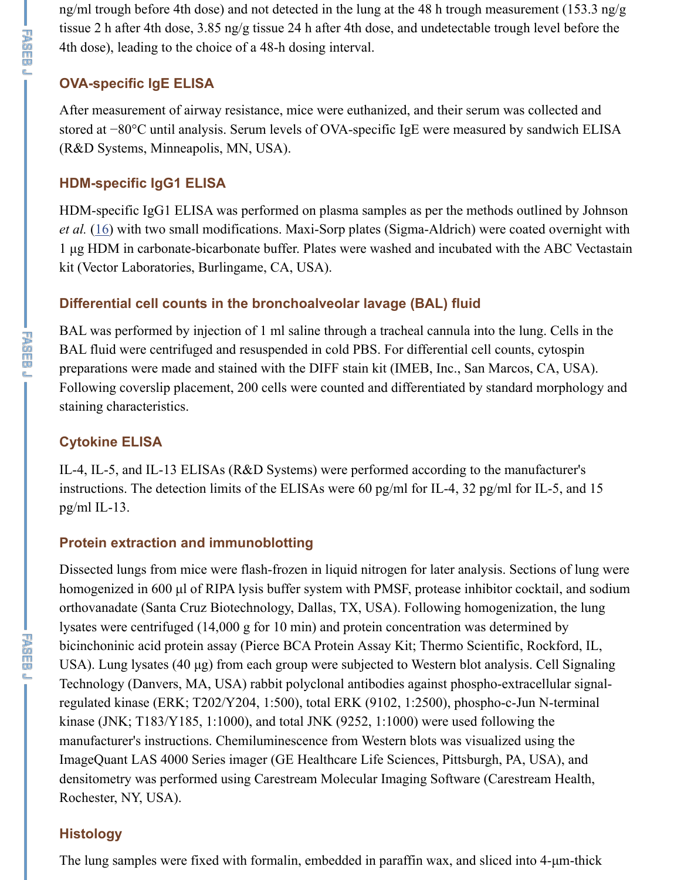HDM-specific IgG1 ELISA was performed on plasma samples as per the methods out *et al.* (16) with two small modifications. Maxi-Sorp plates (Sigma-Aldrich) were coa 1 µg HDM in carbonate-bicarbonate buffer. Plates were washed and incubated with t kit (Vector Laboratories, Burlingame, CA, USA).

## **Differential cell counts in the bronchoalveolar lavage (BAL) fluid**

BAL was performed by injection of 1 ml saline through a tracheal cannula into the lu BAL fluid were centrifuged and resuspended in cold PBS. For differential cell counts preparations were made and stained with the DIFF stain kit (IMEB, Inc., San Marcos Following coverslip placement, 200 cells were counted and differentiated by standard staining characteristics.

## **Cytokine ELISA**

IL-4, IL-5, and IL-13 ELISAs (R&D Systems) were performed according to the man instructions. The detection limits of the ELISAs were 60 pg/ml for IL-4, 32 pg/ml for pg/ml IL-13.

## **Protein extraction and immunoblotting**

Dissected lungs from mice were flash-frozen in liquid nitrogen for later analysis. Sec homogenized in 600 µl of RIPA lysis buffer system with PMSF, protease inhibitor co orthovanadate (Santa Cruz Biotechnology, Dallas, TX, USA). Following homogenization, the lung lysates were centrifuged  $(14,000 \text{ g}$  for 10 min) and protein concentration was determ bicinchoninic acid protein assay (Pierce BCA Protein Assay Kit; Thermo Scientific, I USA). Lung lysates  $(40 \mu g)$  from each group were subjected to Western blot analysis. Technology (Danvers, MA, USA) rabbit polyclonal antibodies against phospho-extra regulated kinase (ERK; T202/Y204, 1:500), total ERK (9102, 1:2500), phospho-c-Ju kinase (JNK; T183/Y185, 1:1000), and total JNK (9252, 1:1000) were used followin manufacturer's instructions. Chemiluminescence from Western blots was visualized using the theory of the material theory of the theory is negative. ImageQuant LAS 4000 Series imager (GE Healthcare Life Sciences, Pittsburgh, PA, densitometry was performed using Carestream Molecular Imaging Software (Carestream Health), Rochester, NY, USA).

## **Histology**

The lung samples were fixed with formalin, embedded in paraffin wax, and sliced int

下海<br>四<br>四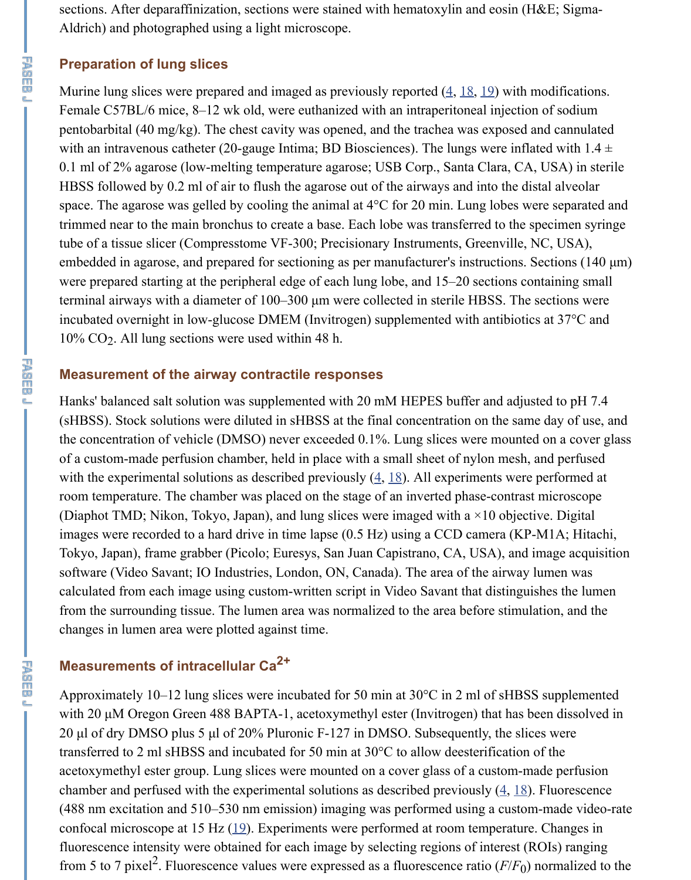space. The agarose was gelled by cooling the animal at  $4^{\circ}$ C for 20 min. Lung lobes v trimmed near to the main bronchus to create a base. Each lobe was transferred to the tube of a tissue slicer (Compresstome VF-300; Precisionary Instruments, Greenville, embedded in agarose, and prepared for sectioning as per manufacturer's instructions. were prepared starting at the peripheral edge of each lung lobe, and  $15-20$  s[ecti](https://www.ncbi.nlm.nih.gov/pmc/articles/PMC3834782/#B19)ons containing small terminal airways with a diameter of 100–300 µm were collected in sterile HBSS. The incubated overnight in low-glucose DMEM (Invitrogen) supplemented with antibioti  $10\%$  CO<sub>2</sub>. All lung sections were used within 48 h.

#### **Measurement of the airway contractile responses**

Hanks' balanced salt solution was supplemented with 20 mM HEPES buffer and adju (sHBSS). Stock solutions were diluted in sHBSS at the final concentration on the san the concentration of vehicle (DMSO) never exceeded 0.1%. Lung slices were mounted of a custom-made perfusion chamber, held in place with a small sheet of nylon mesh with the experimental solutions as described previously  $(4, 18)$ . All experiments were room temperature. The chamber was placed on the stage of an inverted phase-contrast (Diaphot TMD; Nikon, Tokyo, Japan), and lung slices were imaged with a  $\times 10$  objective. images were recorded to a hard drive in time lapse (0.5 Hz) using a CCD camera (KI Tokyo, Japan), frame grabber (Picolo; Euresys, San Juan Capistrano, CA, USA), and software (Video Savant; IO Industries, London, ON, Canada). The area of the airway calculated from each image using custom-written script in Video Savant that distinguished and lument script in  $\mathbf{N}$ from the surrounding tissue. The lumen area was normalized to the area before stimu changes in lumen area were plotted against time.

# **Measurements of intracellular Ca 2+**

Approximately 10–12 lung slices were incubated for 50 min at  $30^{\circ}$ C in 2 ml of sHBS with 20 µM Oregon Green 488 BAPTA-1, acetoxymethyl ester (Invitrogen) that has 20  $\mu$ l of dry DMSO plus 5  $\mu$ l of 20% Pluronic F-127 in DMSO. Subsequently, the sli transferred to 2 ml sHBSS and incubated for 50 min at  $30^{\circ}$ C to allow deesterification acetoxymethyl ester group. Lung slices were mounted on a cover glass of a custom-n chamber and perfused with the experimental solutions as described previously  $(4, 18)$ .  $(488 \text{ nm excitation and } 510-530 \text{ nm emission})$  imaging was performed using a customconfocal microscope at 15 Hz  $(19)$ . Experiments were performed at room temperature. fluorescence intensity were obtained for each image by selecting regions of interest ( from 5 to 7 pixel<sup>2</sup>. Fluorescence values were expressed as a fluorescence ratio ( $F/F_0$ )  $\overline{0}$ 

**下降的问题**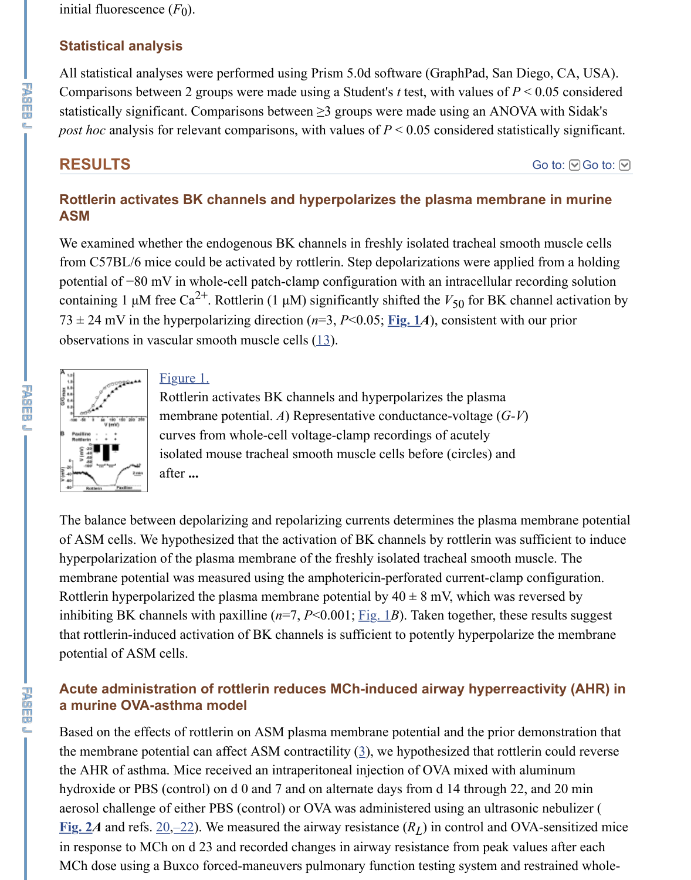#### **Rottlerin activates BK channels and hyperpolarizes the plasma membra ASM**

We examined whether the endogenous BK channels in freshly isolated tracheal smood from C57BL/6 mice could be activated by rottlerin. Step depolarizations were applie potential of −80 mV in whole-cell patch-clamp configuration with an intracellular req containing 1  $\mu$ M free Ca<sup>2+</sup>. Rottlerin (1  $\mu$ M) significantly shifted the  $V_{50}$  for BK cha 73  $\pm$  24 mV in the hyperpolarizing direction ( $n=3$ ,  $P<0.05$ ; **Fig. 14**), consistent with observations in vascular smooth muscle cells (13). 50



#### Figure 1.

Rottlerin activates BK channels and hyperpolarizes the plasma membrane potential. *A*) Representative conductance-voltage (*G-V*) curves from whole-cell voltage-clamp recordings of acutely isolated mouse tracheal smooth muscle cells before (circles) and after **...**

The balance between depolarizing and repolarizing current[s deter](https://www.ncbi.nlm.nih.gov/pmc/articles/PMC3834782/figure/F1/)mines the plasma m of ASM cells. We hypothesized that the activa[tio](https://www.ncbi.nlm.nih.gov/pmc/articles/PMC3834782/#B13)n of BK channels by rottlerin was su hyperpolarization of the plasma membrane of the freshly isolated tracheal smooth must [membrane poten](https://www.ncbi.nlm.nih.gov/pmc/articles/PMC3834782/figure/F1/)ti[al was me](https://www.ncbi.nlm.nih.gov/pmc/articles/PMC3834782/figure/F1/)asured using the amphotericin-perforated current-clamp of Rottlerin hyperpolarized the plasma membrane potential by  $40 \pm 8$  mV, which was re inhibiting BK channels with paxilline  $(n=7, P<0.001;$  Fig. 1*B*). Taken together, these that rottlerin-induced activation of BK channels is sufficient to potently hyperpolariz potential of ASM cells.

#### Acute administration of rottlerin reduces MCh-induced airway hyperrea **a murine OVA-asthma model**

Based on the effects of rottlerin on ASM plasma membrane potential and the prior demonstration that the prior that the membrane potential can affect ASM contractility  $(3)$ , we hypothesized that rottler the AHR of asthma. Mice received an intraperitoneal injection of OVA mixed with al hydroxide or PBS (control) on  $d$  0 and 7 and on alternate days from  $d$  14 through 22, aerosol challenge of either PBS (control) or OVA was [admin](https://www.ncbi.nlm.nih.gov/pmc/articles/PMC3834782/figure/F1/)istered using an ultrason **Fig. 24** and refs.  $20, -22$ ). We measured the airway resistance  $(R_L)$  in control and OV in response to MCh on d 23 and recorded changes in airway resistance from peak val MCh dose using a Buxco forced-maneuvers pulmonary function testing system and restrained whole-

平面而见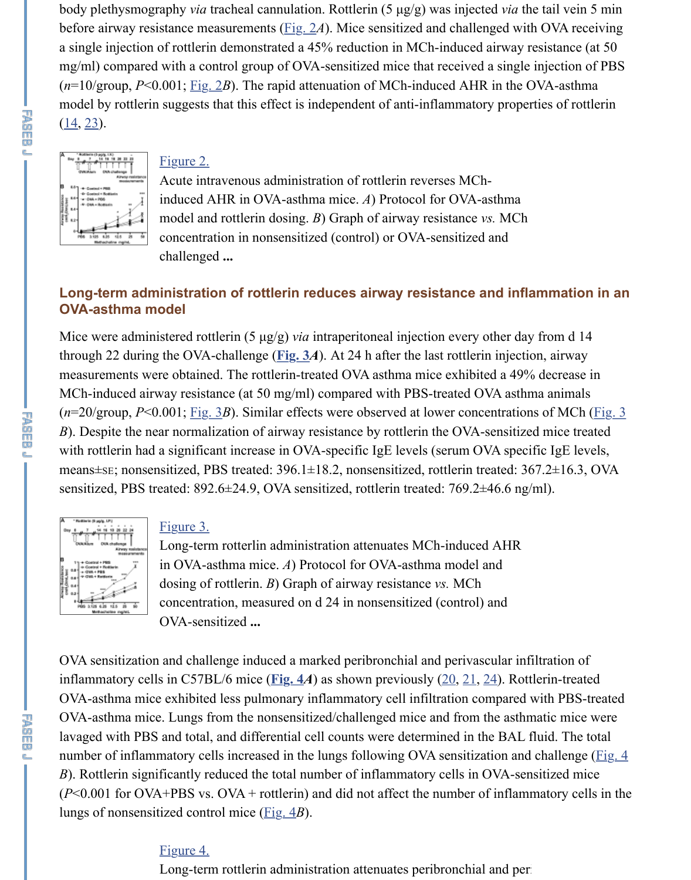

induced AHR in OVA-asthma mice. *A*) Protocol for OVA-asthma model and rottlerin do[sing.](https://www.ncbi.nlm.nih.gov/pmc/articles/PMC3834782/figure/F2/) *B*) Graph of airway resistance *vs.* MCh concentration in nonsensitized (control) or OVA-sensitized and challenged **...**

## **Long-term administ[ration](https://www.ncbi.nlm.nih.gov/pmc/articles/PMC3834782/figure/F2/) of rottlerin reduces airway resistance and infl [OV](https://www.ncbi.nlm.nih.gov/pmc/articles/PMC3834782/#B14)[A-a](https://www.ncbi.nlm.nih.gov/pmc/articles/PMC3834782/#B23)sthma model**

Mice were administered rottlerin  $(5 \mu g/g)$  *via* intraperitoneal injection every other day [through 22 durin](https://www.ncbi.nlm.nih.gov/pmc/articles/PMC3834782/figure/F2/)g [the OVA](https://www.ncbi.nlm.nih.gov/pmc/articles/PMC3834782/figure/F2/)-challenge ( $Fig. 3*A*$ ). At 24 h after the last rottlerin injection,</u> measurements were obtained. The rottlerin-treated OVA asthma mice exhibited a 49% MCh-induced airway resistance (at 50 mg/ml) compared with PBS-treated OVA asth  $(n=20/\text{group}, P<0.001; \underline{Fig. 3}B)$ . Similar effects were observed at lower concentrations *B*). Despite the near normalization of airway resistance by rottlerin the OVA-sensitized with rottlerin had a significant increase in OVA-specific IgE levels (serum OVA spec means±se; nonsensitized, PBS treated: 396.1±18.2, nonsensitized, rottlerin treated: 3 sensitized, PBS treated: 892.6±24.9, OVA sensitized, rottlerin treated: 769.2±46.6 ng



#### Figure 3.

Long-term rotterlin a[dminis](https://www.ncbi.nlm.nih.gov/pmc/articles/PMC3834782/figure/F3/)tration attenuates MCh-induced AHR in OVA-asthma mice. *A*) Protocol for OVA-asthma model and dosing of rottlerin. *B*) Graph of airway resistance *vs.* MCh conc[entratio](https://www.ncbi.nlm.nih.gov/pmc/articles/PMC3834782/figure/F3/)n, measured on d 24 in nonsensitized (control) and OVA-sensitized **...**

OVA sensitization and challenge induced a marked peribronchial and perivascular in inflammatory cells in C57BL/6 mice ( $Fig. 4A$ ) as shown previously  $(20, 21, 24)$ . Rot OVA-asthma mice exhibited less pulmonary inflammatory cell infiltration compared OVA-asthma mic[e. Lungs f](https://www.ncbi.nlm.nih.gov/pmc/articles/PMC3834782/figure/F3/)rom the nonsensitized/challenged mice and from the asthi [lavaged with PB](https://www.ncbi.nlm.nih.gov/pmc/articles/PMC3834782/figure/F3/)S and total, and differential cell counts were determined in the BAL number of inflammatory cells increased in the lungs following OVA sensitization and *B*). Rottlerin significantly reduced the total number of inflammatory cells in OVA-sensitized microscope  $(P<0.001$  for OVA+PBS vs. OVA + rottlerin) and did not affect the number of inflam lungs of nonsensitized control mice (Fig. 4*B*).

## Figure 4.

Long-term rottlerin [admin](https://www.ncbi.nlm.nih.gov/pmc/articles/PMC3834782/figure/F4/)istration attenuates perib[ron](https://www.ncbi.nlm.nih.gov/pmc/articles/PMC3834782/#B20)[chia](https://www.ncbi.nlm.nih.gov/pmc/articles/PMC3834782/#B21)[l an](https://www.ncbi.nlm.nih.gov/pmc/articles/PMC3834782/#B24)d periodical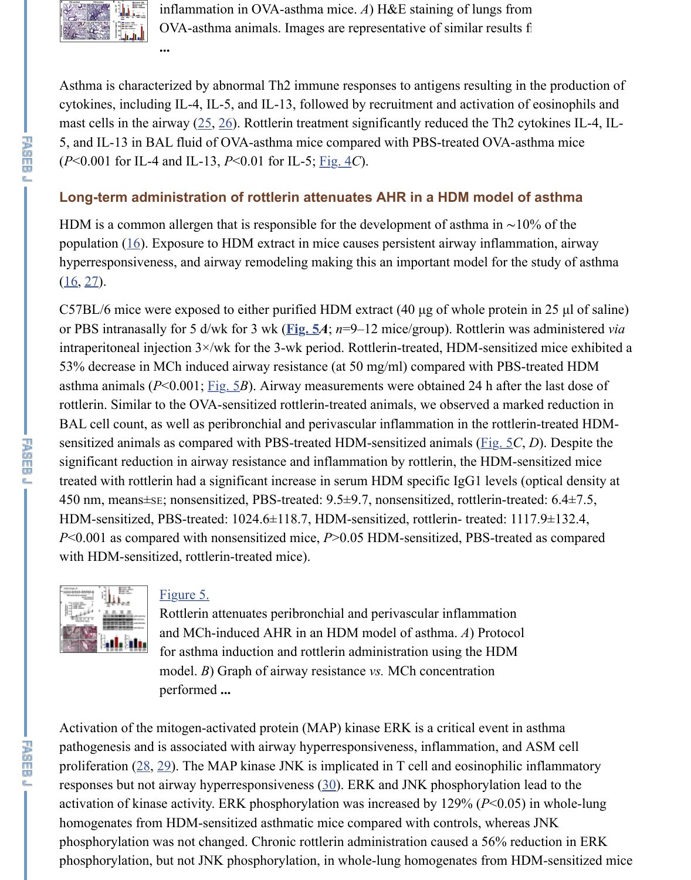#### **Long-term administration of rottlerin attenuates AHR in a HDM model of asthma**

[HDM is a comm](https://www.ncbi.nlm.nih.gov/pmc/articles/PMC3834782/figure/F4/)on allergen that is responsible for the development of asthma in  $\sim$ 10 population  $(16)$ . Exposure to HDM extract in mice causes persistent airway inflammation hyperresponsiveness, and airway remodeling making this an important model for the  $(16, 27)$ .

C57BL/6 mice were exp[ose](https://www.ncbi.nlm.nih.gov/pmc/articles/PMC3834782/#B25)[d to](https://www.ncbi.nlm.nih.gov/pmc/articles/PMC3834782/#B26) either purified HDM extract  $(40 \mu g)$  of whole protein or PBS intranasally for 5 d/wk for 3 wk ( $Fig. 5A$ ;  $n=9-12$  mice/group). Rottlerin was intraperitoneal injection  $3 \times /w$ k for the 3-wk pe[riod. R](https://www.ncbi.nlm.nih.gov/pmc/articles/PMC3834782/figure/F4/)ottlerin-treated, HDM-sensitized 53% decrease in MCh induced airway resistance (at 50 mg/ml) compared with PBS-treated HDM asthma animals  $(P<0.001;$  Fig. 5*B*). Airway measurements were obtained 24 h after the last of last dose of  $P<sub>0.001</sub>$ ,  $p_{1}q_{2}$ rottlerin. Similar to the OVA-sensitized rottlerin-treated animals, we observed a mark BAL cell count, as well as peribronchial and perivascular inflammation in the rottlerinsensitized a[nim](https://www.ncbi.nlm.nih.gov/pmc/articles/PMC3834782/#B16)als as compared with PBS-treated HDM-sensitized animals (Fig. 5*C*, significant reduction in airway resistance and inflammation by rottlerin, the HDM-se t[rea](https://www.ncbi.nlm.nih.gov/pmc/articles/PMC3834782/#B16)t[ed](https://www.ncbi.nlm.nih.gov/pmc/articles/PMC3834782/#B27) with rottlerin had a significant increase in serum HDM specific IgG1 levels (optical density at  $\alpha$ 450 nm, means±sE; nonsensitized, PBS-treated: 9.5±9.7, nonsensitized, rottlerin-trea HDM-sensitized, PBS-treated: 1024.6±1[18.7, H](https://www.ncbi.nlm.nih.gov/pmc/articles/PMC3834782/figure/F5/)DM-sensitized, rottlerin-treated: 111 *P*<0.001 as compared with nonsensitized mice, *P*>0.05 HDM-sensitized, PBS-treated with HDM-sensitized, rottlerin-treated mice).



设施而见

**下海而興** 

#### Figure 5[.](https://www.ncbi.nlm.nih.gov/pmc/articles/PMC3834782/figure/F5/)

Rottlerin attenuates peribronchial and perivascular inflammation and MCh-induced AHR in an HDM model of asthma. *A*) [Protoc](https://www.ncbi.nlm.nih.gov/pmc/articles/PMC3834782/figure/F5/)ol for asthma induction and rottlerin administration using the HDM model. *B*) Graph of airway resistance *vs.* MCh concentration performed **...**

Activation of the mitogen-activated protein (MAP) kinase ERK is a critical event in a pathogenesis and is associated with airway hyperresponsiveness, inflammation, and A proliferation  $(28, 29)$ . The MAP kinase JNK is implicated in T cell and eosinophilic in responses but not [airway hy](https://www.ncbi.nlm.nih.gov/pmc/articles/PMC3834782/figure/F5/)perresponsiveness  $(30)$ . ERK and JNK phosphorylation l activation of kinase activity. ERK phosphorylation was increased by  $129\%$  ( $P<0.05$ ) [homogenates fro](https://www.ncbi.nlm.nih.gov/pmc/articles/PMC3834782/figure/F5/)m HDM-sensitized asthmatic mice compared with controls, whereas phosphorylation was not changed. Chronic rottlerin administration caused a 56% red phosphorylation, but not JNK phosphorylation, in whole-lung homogenates from HD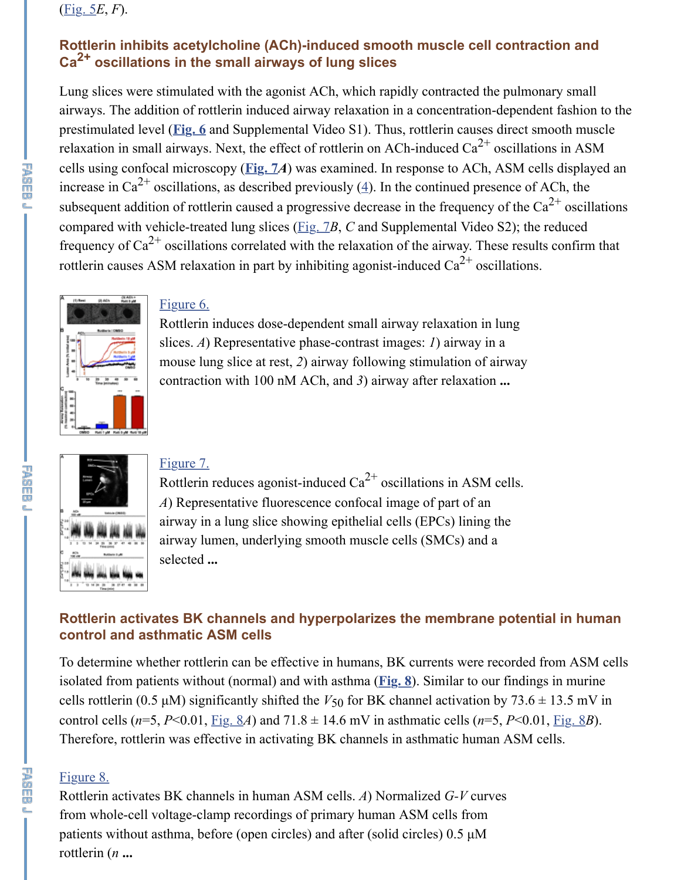[subseq](https://www.ncbi.nlm.nih.gov/pmc/articles/PMC3834782/figure/F5/)uent addition of rottlerin caused a progressive decrease in the frequency of the compared with vehicle-treated lung slices (*Fig. 7B, C* and Supplemental Video S2); the frequency of Ca<sup>2+</sup> oscillations correlated with the relaxation of the airway. These res rottlerin causes ASM relaxation in part by inhibiting agonist-induced  $Ca^{2+}$  oscillation

#### Figure 6.

R[ottlerin](https://www.ncbi.nlm.nih.gov/pmc/articles/PMC3834782/figure/F6/) induces dose-dependent small airway relaxation in lung slices. *A*) Representative phase-contrast images: *1*) airway in a mouse lung sli[ce at re](https://www.ncbi.nlm.nih.gov/pmc/articles/PMC3834782/figure/F7/)st, *2*) airway following stimulation of airway contraction with 100 nM ACh, and *3*[\)](https://www.ncbi.nlm.nih.gov/pmc/articles/PMC3834782/#B4) airway after relaxation **...**



#### Figure 7.

Rottlerin reduces agonist-induced  $Ca^{2+}$  oscillations in ASM cells. *A*[\) Repres](https://www.ncbi.nlm.nih.gov/pmc/articles/PMC3834782/figure/F6/)entative fluorescence confocal image of part of an airway in a lung slice showing epithelial cells (EPCs) lining the airway lumen, underlying smooth muscle cells (SMCs) and a selected **...**

## **[Rottlerin activ](https://www.ncbi.nlm.nih.gov/pmc/articles/PMC3834782/figure/F6/)ates BK channels and hyperpolarizes the membrane pote control and asthmatic ASM cells**

[To determine wh](https://www.ncbi.nlm.nih.gov/pmc/articles/PMC3834782/figure/F7/)e[ther rottle](https://www.ncbi.nlm.nih.gov/pmc/articles/PMC3834782/figure/F7/)rin can be effective in humans, BK currents were recorde isolated from patients without (normal) and with asthma (**Fig. 8**). Similar to our finding cells rottlerin (0.5  $\mu$ M) significantly shifted the  $V_{50}$  for BK channel activation by 73. control cells ( $n=5$ ,  $P<0.01$ , Fig. 8*A*) and 71.8  $\pm$  14.6 mV in asthmatic cells ( $n=5$ ,  $P<0$ ). Therefore, rottlerin was effective in activating BK channels in asthmatic human ASN

## Figure 8.

Rottlerin activates BK channels in human ASM cells. *A*) Normalized *G-V* curves from whole-cell voltage-clamp recordings of primary human ASM cells from patients without asthma, before (open circles) and after (solid circles) 0.5 µM rottlerin (*n* **...**

属恩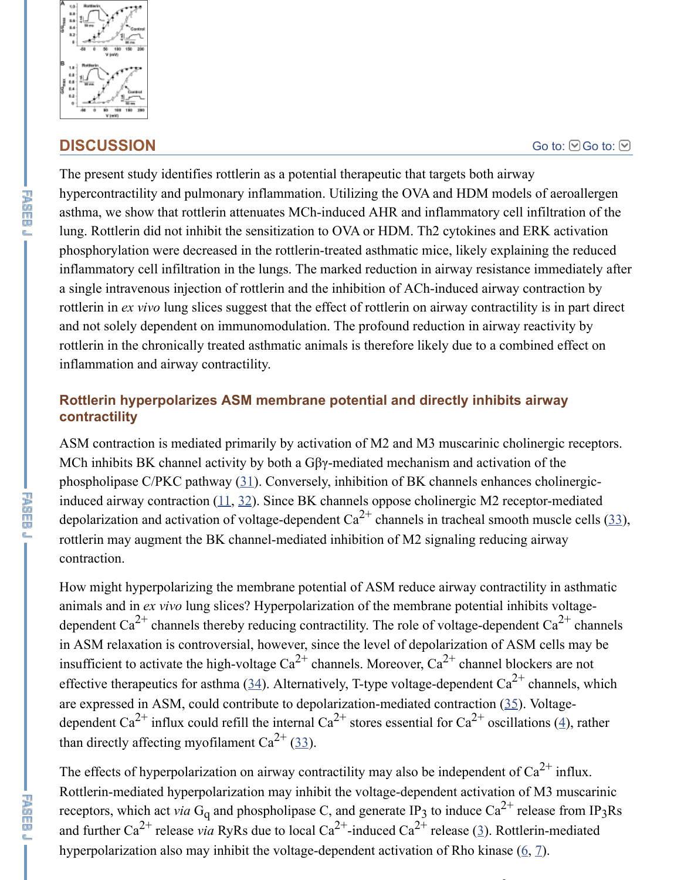and pulmonary inflammation. Outiling the  $\sigma$   $\sigma$  and HDM models [asthma, we show](https://www.ncbi.nlm.nih.gov/pmc/articles/PMC3834782/figure/F8/) that rottlerin attenuates MCh-induced AHR and inflammatory cell in lung. Rottlerin did not inhibit the sensitization to OVA or HDM. Th2 cytokines and E phosphorylation were decreased in the rottlerin-treated asthmatic mice, likely explain inflammatory cell infiltration in the lungs. The marked reduction in airway resistance a single intravenous injection of rottlerin and the inhibition of ACh-induced airway c rottlerin in *ex vivo* lung slices suggest that the effect of rottlerin on airway contractility and not solely dependent on immunomodulation. The profound reduction in airway r rottlerin in the chronically treated asthmatic animals is therefore likely due to a comb inflammation and airway contractility.

#### **Rottlerin hyperpolarizes ASM membrane potential and directly inhibits a contractility**

ASM contraction is mediated primarily by activation of M2 and M3 muscarinic cholinergie receptors. MCh inhibits BK channel activity by both a  $G\beta\gamma$ -mediated mechanism and activation phospholipase C/PKC pathway  $(31)$ . Conversely, inhibition of BK channels enhances induced airway contraction  $(11, 32)$ . Since BK channels oppose cholinergic M2 receptordepolarization and activation of voltage-dependent  $Ca^{2+}$  channels in tracheal smooth rottlerin may augment the BK channel-mediated inhibition of M2 signaling reducing contraction.

How might hyperpolarizing the membrane potential of ASM reduce airway contracti animals and in *ex vivo* lung slices? Hyperpolarization of the membrane potential inhi dependent Ca<sup>2+</sup> channels thereby reducing contractility. The role of voltage-depende in ASM relaxation is controversial, however, since the level of depolarization of ASN insufficient to activate the high-voltage  $Ca^{2+}$  channels. Moreover,  $Ca^{2+}$  channel bloc effective therapeutics for asthma [\(3](https://www.ncbi.nlm.nih.gov/pmc/articles/PMC3834782/#B31)4). Alternatively, T-type voltage-dependent  $Ca^{2+}$ are expressed in ASM, coul[d co](https://www.ncbi.nlm.nih.gov/pmc/articles/PMC3834782/#B11)[ntri](https://www.ncbi.nlm.nih.gov/pmc/articles/PMC3834782/#B32)bute to depolarization-mediated contraction  $(35)$ . dependent Ca<sup>2+</sup> influx could [r](https://www.ncbi.nlm.nih.gov/pmc/articles/PMC3834782/#B33)efill the internal Ca<sup>2+</sup> stores essential for Ca<sup>2+</sup> oscillations (4), ratherthan directly affecting myofilament Ca<sup>2+</sup> (33).

The effects of hyperpolarization on airway contractility may also be independent of Ca Rottlerin-mediated hyperpolarization may inhibit the voltage-dependent activation of receptors, which act *via* G<sub>q</sub> and phospholipase C, and generate IP<sub>3</sub> to induce  $Ca^{2+}$  re and further Ca<sup>2+</sup> release *via* RyRs due to local Ca<sup>2+</sup>-induced Ca<sup>2+</sup> release (3). Rottle hyperpolarization also may inhibit the voltage-dependent activation of Rho kinase  $(6)$ 2+

2+

水动血呢

**下降的问题**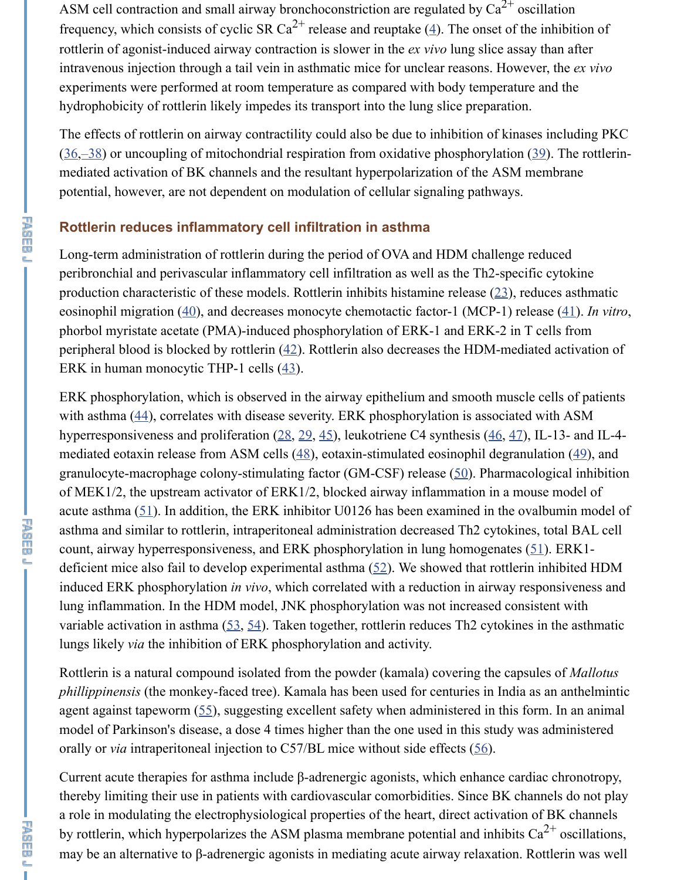#### **Rottlerin reduces inflammatory cell infiltration in asthm[a](https://www.ncbi.nlm.nih.gov/pmc/articles/PMC3834782/#B4)**

Long-term administration of rottlerin during the period of OVA and HDM challenge peribronchial and perivascular inflammatory cell infiltration as well as the Th2-speciproduction characteristic of these models. Rottlerin inhibits histamine release  $(23)$ , re eosinophil migration (40), and decreases monocyte chemotactic factor-1 (MCP-1) rel phorbol myristate acetate (PMA)-induced phosphorylation of ERK-1 and ERK-2 in T [peri](https://www.ncbi.nlm.nih.gov/pmc/articles/PMC3834782/#B36)[p](https://www.ncbi.nlm.nih.gov/pmc/articles/PMC3834782/#B37)[her](https://www.ncbi.nlm.nih.gov/pmc/articles/PMC3834782/#B38)al blood is blocked by rottlerin  $(42)$ . Rottlerin also decreases the HDM-medi ERK in human monocytic THP-1 cells (43).

ERK phosphorylation, which is observed in the airway epithelium and smooth muscle cells of patients. with asthma  $(44)$ , correlates with disease severity. ERK phosphorylation is associated hyperresponsiveness and proliferation  $(28, 29, 45)$ , leukotriene C4 synthesis  $(46, 47)$ mediated eotaxin release from ASM cells  $(48)$ , eotaxin-stimulated eosinophil degranulation (49), and  $(48)$ , and  $(48)$ , and  $(49)$ granulocyte-macrophage colony-stimulating factor (GM-CSF) release  $(50)$ . Pharmac of MEK1/2, the upstream activator of ERK1/2, blocked airway inflammation i[n a](https://www.ncbi.nlm.nih.gov/pmc/articles/PMC3834782/#B23) mo acute asthma  $(51)$ . In [add](https://www.ncbi.nlm.nih.gov/pmc/articles/PMC3834782/#B40)ition, the ERK inhibitor U0126 has been exa[min](https://www.ncbi.nlm.nih.gov/pmc/articles/PMC3834782/#B41)ed in the ov asthma and similar to rottlerin, intraperitoneal administration decreased Th2 cytokine count, airway hyperresponsiveness, and [ER](https://www.ncbi.nlm.nih.gov/pmc/articles/PMC3834782/#B42)K phosphorylation in lung homogenates ( deficient mice also fail to develop exper[ime](https://www.ncbi.nlm.nih.gov/pmc/articles/PMC3834782/#B43)ntal asthma  $(52)$ . We showed that rottlering induced ERK phosphorylation *in vivo*, which correlated with a reduction in airway re lung inflamm[atio](https://www.ncbi.nlm.nih.gov/pmc/articles/PMC3834782/#B44)n. In the HDM model, JNK phosphorylation was not increased cons variable activation in asthma  $(53, 54)$ . [Tak](https://www.ncbi.nlm.nih.gov/pmc/articles/PMC3834782/#B28)[en t](https://www.ncbi.nlm.nih.gov/pmc/articles/PMC3834782/#B29)[oge](https://www.ncbi.nlm.nih.gov/pmc/articles/PMC3834782/#B45)ther, rottlerin reduces Th2 c[yto](https://www.ncbi.nlm.nih.gov/pmc/articles/PMC3834782/#B46)[kine](https://www.ncbi.nlm.nih.gov/pmc/articles/PMC3834782/#B47) lungs likely *via* the inhibition of ERK pho[sph](https://www.ncbi.nlm.nih.gov/pmc/articles/PMC3834782/#B48)orylation and activity.

Rottl[erin](https://www.ncbi.nlm.nih.gov/pmc/articles/PMC3834782/#B50) is a natural compound isolated from the powder (kamala) covering the caps *phillippinensis* (the monkey-faced tree). Kamala has been used for centuries in India agent against [tape](https://www.ncbi.nlm.nih.gov/pmc/articles/PMC3834782/#B51)worm  $(55)$ , suggesting excellent safety when administered in this form. model of Parkinson's disease, a dose 4 times higher than the one used in this study w orally or *via* intraperitoneal injection to C57/BL mice without side effects (56).

Current acute therapies for asthma include β-adrenergic [ago](https://www.ncbi.nlm.nih.gov/pmc/articles/PMC3834782/#B52)nists, which enhance cardiac chronotropy,  $\alpha$ thereby limiting their use in patients with cardiovascular comorbidities. Since BK ch a role in modulating the electr[oph](https://www.ncbi.nlm.nih.gov/pmc/articles/PMC3834782/#B53)[ysi](https://www.ncbi.nlm.nih.gov/pmc/articles/PMC3834782/#B54)ological properties of the heart, direct activation by rottlerin, which hyperpolarizes the ASM plasma membrane potential and inhibits may be an alternative to β-adrenergic agonists in mediating acute airway relaxation. I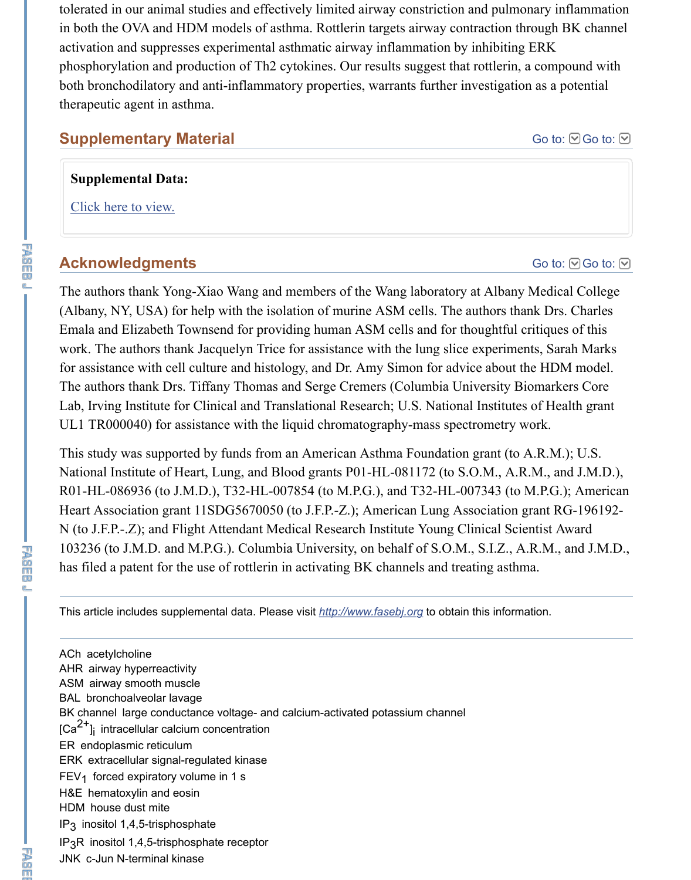## **Acknowledgments**

The authors thank Yong-Xiao Wang and members of the Wang laboratory at Albany (Albany, NY, USA) for help with the isolation of murine ASM cells. The authors than Emala and Elizabeth Townsend for providing human ASM cells and for thoughtful c work. The authors thank Jacquelyn Trice for assistance with the lung slice experiments,  $\frac{d}{dt}$ for assistance with cell culture and histology, and Dr. Amy Simon for advice about the HDM model. The authors thank Drs. Tiffany Thomas and Serge Cremers (Columbia University Biographic L[ab, Irving Institute f](https://www.ncbi.nlm.nih.gov/pmc/articles/PMC3834782/bin/supp_27_12_4975__index.html)or Clinical and Translational Research; U.S. National Institutes UL1 TR000040) for assistance with the liquid chromatography-mass spectrometry w

This study was supported by funds from an American Asthma Foundation grant (to A. National Institute of Heart, Lung, and Blood grants P01-HL-081172 (to S.O.M., A.R. R01-HL-086936 (to J.M.D.), T32-HL-007854 (to M.P.G.), and T32-HL-007343 (to M. Heart Association grant 11SDG5670050 (to J.F.P.-Z.); American Lung Association g N (to J.F.P.-.Z); and Flight Attendant Medical Research Institute Young Clinical Scie 103236 (to J.M.D. and M.P.G.). Columbia University, on behalf of S.O.M., S.I.Z., A. has filed a patent for the use of rottlerin in activating BK channels and treating asthm

This article includes supplemental data. Please visit *http://www.fasebj.org* to obtain this informa

ACh acetylcholine AHR airway hyperreactivity ASM airway smooth muscle BAL bronchoalveolar lavage BK channel large conductance voltage- and calcium-activated potassium channel  $\lbrack Ca^{2+}\rbrack$  intracellular calcium concentration ER endoplasmic reticulum ERK extracellular signal-regulated kinase  $FEV<sub>1</sub>$  forced expiratory volume in 1 s H&E hematoxylin and eosin HDM house dust mite IP<sub>3</sub> inositol 1,4,5-trisphosphate IP<sub>3</sub>R inositol 1,4,5-trisphosphate receptor JNK c-Jun N-terminal kinase

ČD.

下海<br>中国<br>中国<br>中国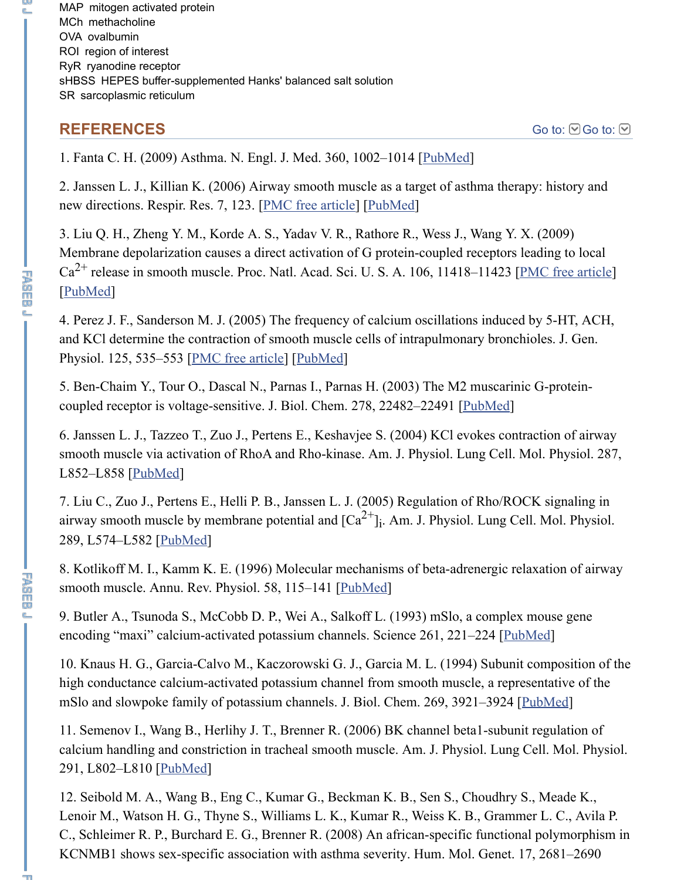new directions. Respir. Res. 7, 123. [PMC free article] [PubMed]

3. Liu Q. H., Zheng Y. M., Korde A. S., Yadav V. R., Rathore R., Wess J., Wang Y. X. Membrane depolarization causes a direct activation of G protein-coupled receptors leading  $Ca^{2+}$  release in smooth muscle. Proc. Natl. Acad. Sci. U. S. A. 106, 11418–11423 [ $\underline{P}$ ] [PubMed]

4. Perez J. F., Sanderson M. J. (2005) The frequency of calcium oscillations induced and KCl determine the contraction of smooth muscle cells of intr[apulmona](https://www.ncbi.nlm.nih.gov/pubmed/19264689)ry bronchioles. Physiol. 125, 535–553 [PMC free article] [PubMed]

5. Ben-Chaim Y., Tour O., Dascal N., Parnas I., Parnas H. (2003) The M2 muscarinic coupled receptor is voltage-sensitive[. J. Biol. Chem. 2](https://www.ncbi.nlm.nih.gov/pmc/articles/PMC1592490/)7[8, 22482–](https://www.ncbi.nlm.nih.gov/pubmed/17010205)22491 [PubMed]

6. Janssen L. J., Tazzeo T., Zuo J., Pertens E., Keshavjee S. (2004) KCl evokes contra smooth muscle via activation of RhoA and Rho-kinase. Am. J. Physiol. Lung Cell. M [L852–L8](https://www.ncbi.nlm.nih.gov/pubmed/19549818)58 [PubMed]

7. Liu C., Zuo J., Pertens E., Helli P. B., Janssen L. J. (2005) Regulation of Rho/ROC airway smooth muscle by membrane potential and  ${[Ca}^{2+}]_i$ . Am. J. Physiol. Lung Cel 289, L574–L582 [Pub[Med\]](https://www.ncbi.nlm.nih.gov/pmc/articles/PMC2234076/) i

8. Kotlikoff M. I., Kamm K. E. (1996) Molecular mechanisms of beta-adrenergic rela smooth muscle. Annu. Rev. Physiol. 58, 115–141 [PubMed]

9. Butler A., Tsunoda S., McCobb D. P., Wei A., Salkoff L. (1993) mSlo, a complex mouse general mouse generalism. encoding "maxi" calcium-activated potassium channels. Science 261, 221-224 [Publ

10. Knaus H. [G., Garc](https://www.ncbi.nlm.nih.gov/pubmed/15208091)ia-Calvo M., Kaczorowski G. J., Garcia M. L. (1994) Subunit high conductance calcium-activated potassium channel from smooth muscle, a repres mSlo and slowpoke family of potassium channels. J. Biol. Chem. 269, 3921-3924 [ $\underline{P}$ 

11. Semenov I., [Wang B., H](https://www.ncbi.nlm.nih.gov/pubmed/15937065)erlihy J. T., Brenner R. (2006) BK channel beta1-subunit calcium handling and constriction in tracheal smooth muscle. Am. J. Physiol. Lung C 291, L802–L810 [PubMed]

12. Seibold M. A., Wang B., Eng C., Kumar G., B[eckman K](https://www.ncbi.nlm.nih.gov/pubmed/8815788). B., Sen S., Choudhry S. Lenoir M., Watson H. G., Thyne S., Williams L. K., Kumar R., Weiss K. B., Gramme C., Schleimer R. P., Burchard E. G., Brenner R. (2008) An african-specific functional KCNMB1 shows sex-specific association with asthma severity. Hum. Mol. Genet. 17

出现的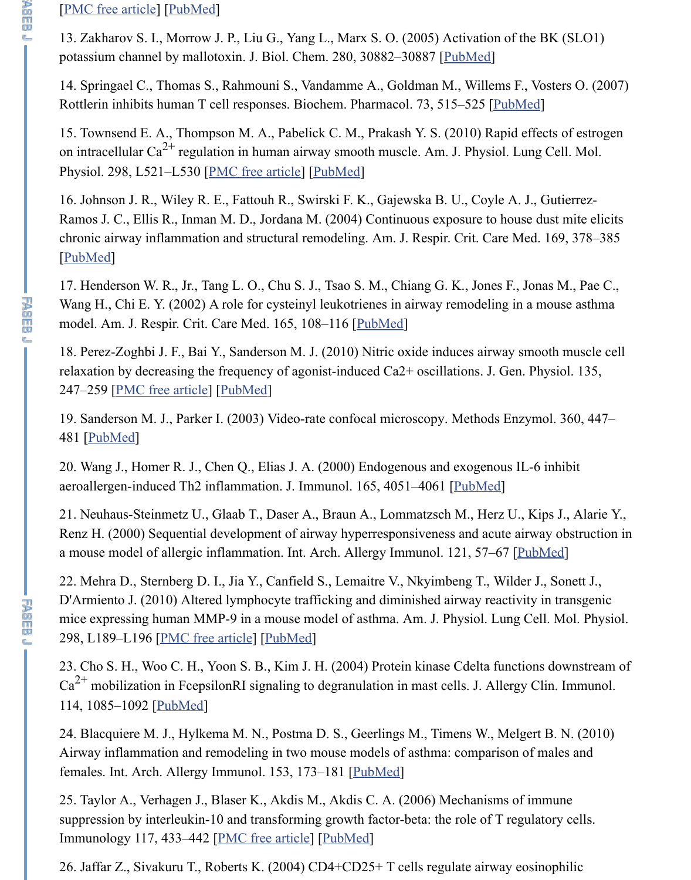[16. Johnson J. R.,](https://www.ncbi.nlm.nih.gov/pmc/articles/PMC2733805/) [Wiley R. E](https://www.ncbi.nlm.nih.gov/pubmed/18535015)., Fattouh R., Swirski F. K., Gajewska B. U., Coyle A. J Ramos J. C., Ellis R., Inman M. D., Jordana M. (2004) Continuous exposure to house chronic airway inflammation and structural remodeling. Am. J. Respi[r. Crit. C](https://www.ncbi.nlm.nih.gov/pubmed/15998639)are Me [PubMed]

17. Henderson W. R., Jr., Tang L. O., Chu S. J., Tsao S. M., Chiang G. K., Jones F., J Wang H., Chi E. Y. (2002) A role for cysteinyl leukotrienes in airway remodeling in a model. Am. J. Respir. Crit. Care Med. 165, 108–116 [PubMed]

18. Perez-Zoghbi J. F., Bai Y., Sanderson M. J. (2010) Nitric oxide induces airway sn relaxation by decreasing th[e frequency of ag](https://www.ncbi.nlm.nih.gov/pmc/articles/PMC2853343/)o[nist-indu](https://www.ncbi.nlm.nih.gov/pubmed/20097735)ced  $Ca2+$  oscillations. J. Gen. 247–259 [PMC free article] [PubMed]

19. Sanderson M. J., Parker I. (2003) Video-rate confocal microscopy. Methods Enzy 481 [PubMed]

20. Wang J., Homer R. J., Chen Q., Elias J. A. (2000) Endogenous and exogenous IL aeroallergen-induced Th2 inflammation. J. Immunol. 165, 4051–4061 [PubMed]

21. Neuhaus-Steinmetz U., Glaab T., Daser A., Braun [A., Lom](https://www.ncbi.nlm.nih.gov/pubmed/11779739)matzsch M., Herz U., Renz H. (2000) Sequential development of airway hyperresponsiveness and acute air a mouse model of allergic inflammation. Int. Arch. Allergy Immunol. 121, 57–67  $[**P**$ 

22. Mehr[a D., Sternberg D.](https://www.ncbi.nlm.nih.gov/pmc/articles/PMC2828908/) I[., Jia Y., C](https://www.ncbi.nlm.nih.gov/pubmed/20176853)anfield S., Lemaitre V., Nkyimbeng T., Wilder D'Armiento J. (2010) Altered lymphocyte trafficking and diminished airway reactivity mice expressing human MMP-9 in a mouse model of asthma. Am. J. Physiol. Lung C 298, [L189–L1](https://www.ncbi.nlm.nih.gov/pubmed/12622163)96 [PMC free article] [PubMed]

23. Cho S. H., Woo C. H., Yoon S. B., Kim J. H. (2004) Protein kinase Cdelta functions  $Ca^{2+}$  mobilization in FcepsilonRI signaling to degranulation in mast ce[lls. J. All](https://www.ncbi.nlm.nih.gov/pubmed/11034416)ergy 114, 1085–1092 [PubMed]

24. Blacquiere M. J., Hylkema M. N., Postma D. S., Geerlings M., Timens W., Melgert Airway inflammation and remodeling in two mouse models of asthma: comparison of females. Int. Arch. Allergy Immunol. 153, 173–181 [PubMed]

25. Taylor A., Verhagen J., Blaser K., Akdis M., Akdis C. A. (2006) Mechanisms of suppression by interleukin-10 and transforming growth factor-beta: the role of T regulator-Immunology 117, [433–442 \[PMC f](https://www.ncbi.nlm.nih.gov/pmc/articles/PMC2822563/)r[ee article\]](https://www.ncbi.nlm.nih.gov/pubmed/19940022) [PubMed]

26. Jaffar Z., Sivakuru T., Roberts K. (2004) CD4+CD25+ T cells regulate airway eo

不要吃的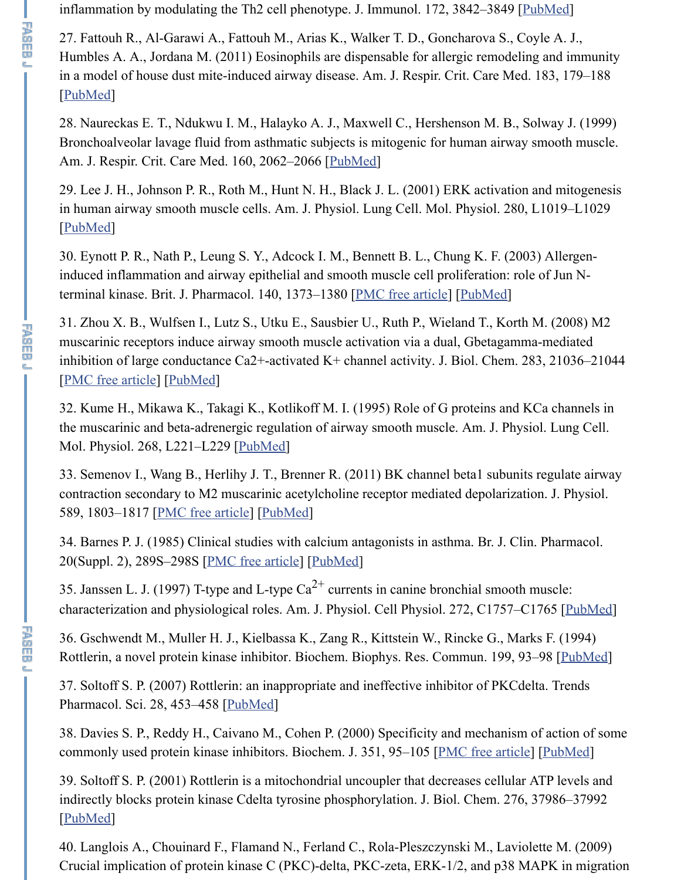$29.$  Lee J. H.,  $29.$  Lee J. L. (2001) ERK activities and mitogenesis and mitogenesis and mitogenesis and mitogenesis and mitogenesis and mitogenesis and mitogenesis and mitogenesis and mitogenesis and mitogenesis and mi in human airway smooth muscle cells. Am. J. Physiol. Lung Cell. Mol. Physiol. 280, [PubMed]

30. Eynott P. R., Nath P., Leung S. Y., Adcock I. M., Bennett B. L., Chung K. F. (2003) induced inflammation and airway epithelial and smooth muscle cell proliferation: rol t[erminal k](https://www.ncbi.nlm.nih.gov/pubmed/20732990)inase. Brit. J. Pharmacol. 140, 1373–1380 [PMC free article] [PubMed]

31. Zhou X. B., Wulfsen I., Lutz S., Utku E., Sausbier U., Ruth P., Wieland T., Korth muscarinic receptors induce airway smooth muscle activation via a dual, Gbetagamm inhibition of large conductance Ca2+-activated [K+ chann](https://www.ncbi.nlm.nih.gov/pubmed/10588629)el activity. J. Biol. Chem. 2 [PMC free article] [PubMed]

下の のうしょう こうしょう こうしょう こうしょう こうしょう こうしょう しんかん こうしゃ

**下降的问题** 

e.<br>.

32. Kume H., Mikawa K., Takagi K., Kotlikoff M. I. (1995) Role of G proteins and K t[he musca](https://www.ncbi.nlm.nih.gov/pubmed/11290527)rinic and beta-adrenergic regulation of airway smooth muscle. Am. J. Phys Mol. Physiol. 268, L221–L229 [PubMed]

33. Semenov I., Wang B., Herlihy J. T., Brenner R. (2011) BK channel beta1 subunit contraction secondary to M2 muscarinic acetylcholin[e receptor mediat](https://www.ncbi.nlm.nih.gov/pmc/articles/PMC1574155/)e[d depolari](https://www.ncbi.nlm.nih.gov/pubmed/14623764)zation. 589, 1803–1817 [PMC free article] [PubMed]

34. Barnes P. J. (1985) Clinical studies with calcium antagonists in asthma. Br. J. Clin. [20\(Suppl. 2\), 289S](https://www.ncbi.nlm.nih.gov/pmc/articles/PMC3258941/)[–298S \[PM](https://www.ncbi.nlm.nih.gov/pubmed/18524769)C free article] [PubMed]

35. Janssen L. J. (1997) T-type and L-type  $Ca^{2+}$  currents in canine bronchial smooth characterization and physiological roles. Am. J. Physiol. Cell Physiol. 272, C1757–C

36. Gschwendt M., Muller H. J.[, Kielbass](https://www.ncbi.nlm.nih.gov/pubmed/7864143)a K., Zang R., Kittstein W., Rincke G., Mar Rottlerin, a novel protein kinase inhibitor. Biochem. Biophys. Res. Commun. 199, 93

37. Soltoff S. P. (2007) Rottlerin: an inappropriate and ineffective inhibitor of PKCde. Pharmacol. Sci. 28, 453-458 [*PubMed*]

38. Davies S. P., Reddy H., Caivano M., Cohen P. (2000) Specificity and mechanism commonly used protein ki[nase inhibitors. B](https://www.ncbi.nlm.nih.gov/pmc/articles/PMC1400645/)i[ochem. J.](https://www.ncbi.nlm.nih.gov/pubmed/3902071) 351, 95–105 [PMC free article]

39. Soltoff S. P. (2001) Rottlerin is a mitochondrial uncoupler that decreases cellular indirectly blocks protein kinase Cdelta tyrosine phosphorylation. J. Biol. Chem. 276, [PubMed]

40. Langlois A., Chouinard F., Flamand N., Ferland C., Rola-Pleszczynski M., Lavio Crucial implication of protein kinase C (PKC)-delta, PKC-zeta, ERK- $1/2$ , and p38 M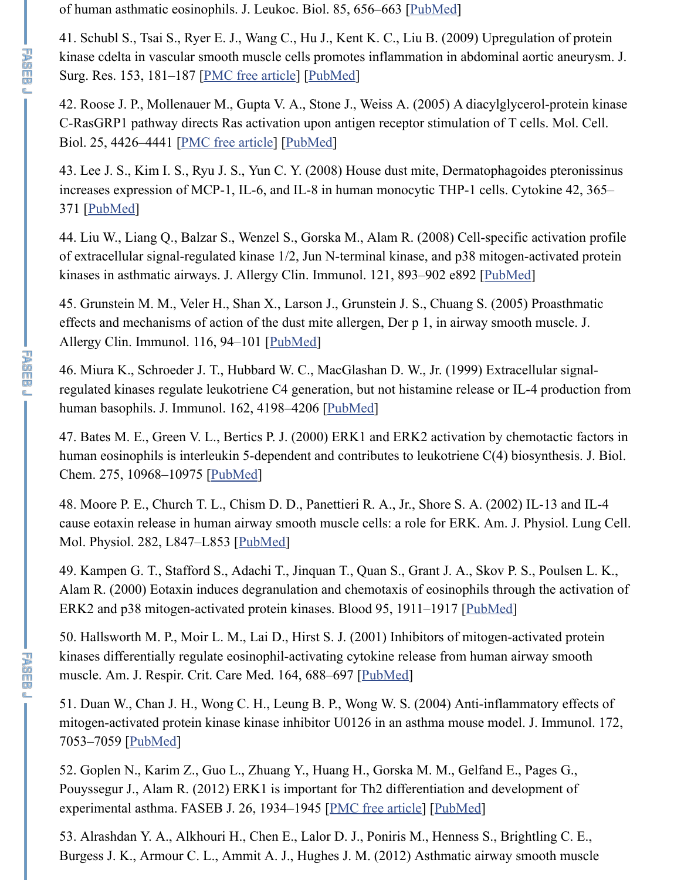## increases expression of MCP-1, IL-6, and IL-8 in human monocytic THP-1 cells. Cytokine 42, 365– 371 [PubMed]

44. Liu W., Liang Q., Balzar S., Wenzel S., Gorska M., Alam R. (2008) Cell-specific of extracellular signal-regulated kinase  $1/2$ , Jun N-terminal kinase, and p38 mitogenkinases in asthmatic airw[ays. J. Allergy Cli](https://www.ncbi.nlm.nih.gov/pmc/articles/PMC3322540/)n[. Immuno](https://www.ncbi.nlm.nih.gov/pubmed/18952226)l. 121, 893–902 e892 [PubMed]]

45. Grunstein M. M., Veler H., Shan X., Larson J., Grunstein J. S., Chuang S. (2005) effects and mechanisms of action of the dust mite allergen, Der  $p_1$ , in airway smooth Allergy Clin. Immun[ol. 116, 94–101 \[P](https://www.ncbi.nlm.nih.gov/pmc/articles/PMC1140631/)u[bMed\]](https://www.ncbi.nlm.nih.gov/pubmed/15899849)

46. Miura K., Schroeder J. T., Hubbard W. C., MacGlashan D. W., Jr. (1999) Extrace regulated kinases regulate leukotriene C4 generation, but not histamine release or ILhum[an basoph](https://www.ncbi.nlm.nih.gov/pubmed/18490175)ils. J. Immunol. 162, 4198–4206 [PubMed]

47. Bates M. E., Green V. L., Bertics P. J. (2000) ERK1 and ERK2 activation by chemotal human eosinophils is interleukin 5-dependent and contributes to leukotriene  $C(4)$  bio Chem. 275, 10968–10975 [PubMed]

48. Moore P. E., Church T. L., Chism D. D., Panettieri R. A., Jr., Shore S. A. (2002) I cause eotaxin release in human airway smooth muscle cells: a role for ERK. Am. J. I Mol. Physiol. 282, L847–L853 [Pub[Med\]](https://www.ncbi.nlm.nih.gov/pubmed/15990780)

49. Kampen G. T., Stafford S., Adachi T., Jinquan T., Quan S., Grant J. A., Skov P. S. Alam R. (2000) Eotaxin induces degranulation and chemotaxis of eosinophils through ERK2 and p38 mitogen-activated protein kinase[s. Blood](https://www.ncbi.nlm.nih.gov/pubmed/10201947) 95, 1911–1917 [PubMed]

50. Hallsworth M. P., Moir L. M., Lai D., Hirst S. J. (2001) Inhibitors of mitogen-act kinases differentially regulate eosinophil-activating cytokine release from human air muscle. Am. J. Respir. Crit[. Care Me](https://www.ncbi.nlm.nih.gov/pubmed/10753897)d. 164, 688–697 [PubMed]

51. Duan W., Chan J. H., Wong C. H., Leung B. P., Wong W. S. (2004) Anti-inflamm mitogen-activated protein kinase kinase inhibitor U0126 in an asthma mouse model. 7053–7059 [PubMed]

52. Goplen N., Karim Z., Guo L., Zhuang Y., Huang H., Gorska M. M., Gelfand E., I Pouyssegur J., Alam R. (2012) ERK1 is important for Th2 differentiation and development of  $\mu$ experimental asthma. FASEB J. 26, 1934–1945 [PMC free article] [Pub[Med\]](https://www.ncbi.nlm.nih.gov/pubmed/10706854)

53. Alrashdan Y. A., Alkhouri H., Chen E., Lalor D. J., Poniris M., Henness S., Brightling C. E., Burgess J. K., Armour C. L., Ammit A. J., Hughes J. M. (2012) Asthmatic airway sn

设施血學